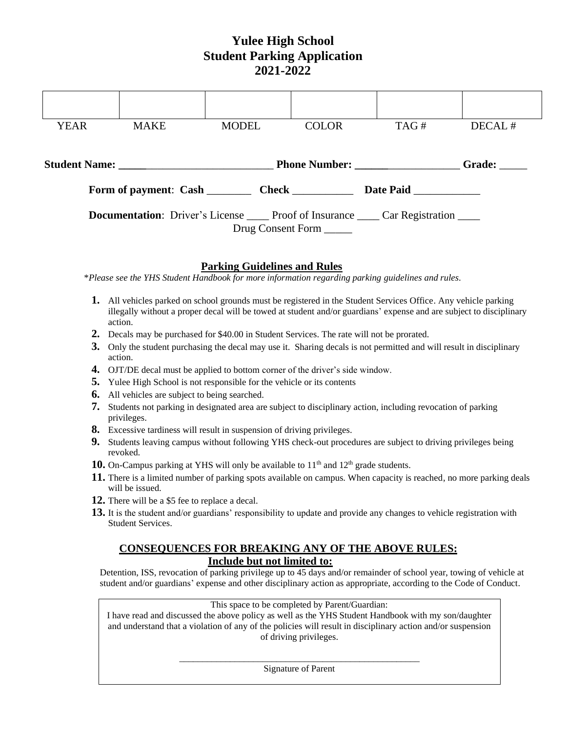# **Yulee High School Student Parking Application 2021-2022**

| <b>YEAR</b>                                                                                   | <b>MAKE</b>                                      | <b>MODEL</b> | <b>COLOR</b> | TAG# | DECAL# |  |  |
|-----------------------------------------------------------------------------------------------|--------------------------------------------------|--------------|--------------|------|--------|--|--|
|                                                                                               | Student Name: Student Name: Phone Number: Grade: |              |              |      |        |  |  |
| Date Paid                                                                                     |                                                  |              |              |      |        |  |  |
| <b>Documentation:</b> Driver's License ______ Proof of Insurance _____ Car Registration _____ |                                                  |              |              |      |        |  |  |
| Drug Consent Form                                                                             |                                                  |              |              |      |        |  |  |

### **Parking Guidelines and Rules**

\**Please see the YHS Student Handbook for more information regarding parking guidelines and rules.*

- **1.** All vehicles parked on school grounds must be registered in the Student Services Office. Any vehicle parking illegally without a proper decal will be towed at student and/or guardians' expense and are subject to disciplinary action.
- **2.** Decals may be purchased for \$40.00 in Student Services. The rate will not be prorated.
- **3.** Only the student purchasing the decal may use it. Sharing decals is not permitted and will result in disciplinary action.
- **4.** OJT/DE decal must be applied to bottom corner of the driver's side window.
- **5.** Yulee High School is not responsible for the vehicle or its contents
- **6.** All vehicles are subject to being searched.
- **7.** Students not parking in designated area are subject to disciplinary action, including revocation of parking privileges.
- **8.** Excessive tardiness will result in suspension of driving privileges.
- **9.** Students leaving campus without following YHS check-out procedures are subject to driving privileges being revoked.
- **10.** On-Campus parking at YHS will only be available to 11<sup>th</sup> and 12<sup>th</sup> grade students.
- **11.** There is a limited number of parking spots available on campus. When capacity is reached, no more parking deals will be issued.
- **12.** There will be a \$5 fee to replace a decal.
- **13.** It is the student and/or guardians' responsibility to update and provide any changes to vehicle registration with Student Services.

#### **CONSEQUENCES FOR BREAKING ANY OF THE ABOVE RULES: Include but not limited to:**

Detention, ISS, revocation of parking privilege up to 45 days and/or remainder of school year, towing of vehicle at student and/or guardians' expense and other disciplinary action as appropriate, according to the Code of Conduct.

This space to be completed by Parent/Guardian:

I have read and discussed the above policy as well as the YHS Student Handbook with my son/daughter and understand that a violation of any of the policies will result in disciplinary action and/or suspension of driving privileges.

> \_\_\_\_\_\_\_\_\_\_\_\_\_\_\_\_\_\_\_\_\_\_\_\_\_\_\_\_\_\_\_\_\_\_\_\_\_\_\_\_\_\_\_\_\_\_\_\_\_\_\_\_ Signature of Parent